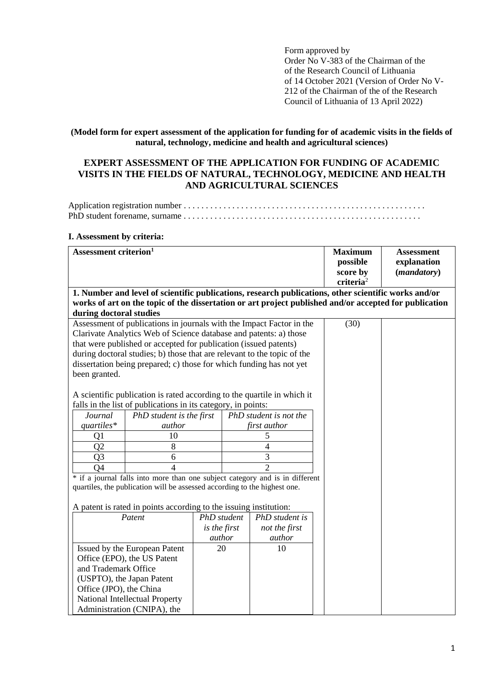Form approved by Order No V-383 of the Chairman of the of the Research Council of Lithuania of 14 October 2021 (Version of Order No V-212 of the Chairman of the of the Research Council of Lithuania of 13 April 2022)

**(Model form for expert assessment of the application for funding for of academic visits in the fields of natural, technology, medicine and health and agricultural sciences)**

# **EXPERT ASSESSMENT OF THE APPLICATION FOR FUNDING OF ACADEMIC VISITS IN THE FIELDS OF NATURAL, TECHNOLOGY, MEDICINE AND HEALTH AND AGRICULTURAL SCIENCES**

Application registration number . . . . . . . . . . . . . . . . . . . . . . . . . . . . . . . . . . . . . . . . . . . . . . . . . . . . . . . PhD student forename, surname . . . . . . . . . . . . . . . . . . . . . . . . . . . . . . . . . . . . . . . . . . . . . . . . . . . . . .

# **I. Assessment by criteria:**

| Assessment criterion <sup>1</sup>                                                                  |                                                                                                      |                        |                                                                              |                                                                                                        | <b>Maximum</b>                    | <b>Assessment</b>    |  |
|----------------------------------------------------------------------------------------------------|------------------------------------------------------------------------------------------------------|------------------------|------------------------------------------------------------------------------|--------------------------------------------------------------------------------------------------------|-----------------------------------|----------------------|--|
|                                                                                                    |                                                                                                      |                        |                                                                              |                                                                                                        | possible                          | explanation          |  |
|                                                                                                    |                                                                                                      |                        |                                                                              |                                                                                                        | score by                          | ( <i>mandatory</i> ) |  |
|                                                                                                    |                                                                                                      |                        |                                                                              |                                                                                                        | $\mathbf{c}$ riteria <sup>2</sup> |                      |  |
|                                                                                                    | 1. Number and level of scientific publications, research publications, other scientific works and/or |                        |                                                                              |                                                                                                        |                                   |                      |  |
|                                                                                                    |                                                                                                      |                        |                                                                              | works of art on the topic of the dissertation or art project published and/or accepted for publication |                                   |                      |  |
| during doctoral studies                                                                            |                                                                                                      |                        |                                                                              |                                                                                                        |                                   |                      |  |
| Assessment of publications in journals with the Impact Factor in the                               |                                                                                                      |                        |                                                                              |                                                                                                        | (30)                              |                      |  |
|                                                                                                    | Clarivate Analytics Web of Science database and patents: a) those                                    |                        |                                                                              |                                                                                                        |                                   |                      |  |
|                                                                                                    | that were published or accepted for publication (issued patents)                                     |                        |                                                                              |                                                                                                        |                                   |                      |  |
|                                                                                                    | during doctoral studies; b) those that are relevant to the topic of the                              |                        |                                                                              |                                                                                                        |                                   |                      |  |
|                                                                                                    | dissertation being prepared; c) those for which funding has not yet                                  |                        |                                                                              |                                                                                                        |                                   |                      |  |
| been granted.                                                                                      |                                                                                                      |                        |                                                                              |                                                                                                        |                                   |                      |  |
|                                                                                                    |                                                                                                      |                        |                                                                              |                                                                                                        |                                   |                      |  |
|                                                                                                    | A scientific publication is rated according to the quartile in which it                              |                        |                                                                              |                                                                                                        |                                   |                      |  |
| falls in the list of publications in its category, in points:                                      |                                                                                                      |                        |                                                                              |                                                                                                        |                                   |                      |  |
| Journal                                                                                            | PhD student is the first                                                                             |                        | PhD student is not the                                                       |                                                                                                        |                                   |                      |  |
| $quartiles*$                                                                                       | author                                                                                               |                        | first author                                                                 |                                                                                                        |                                   |                      |  |
| Q1                                                                                                 | 10                                                                                                   |                        | 5                                                                            |                                                                                                        |                                   |                      |  |
| Q2                                                                                                 | $\,8\,$                                                                                              |                        | $\overline{4}$                                                               |                                                                                                        |                                   |                      |  |
| Q <sub>3</sub>                                                                                     | 6                                                                                                    |                        | 3                                                                            |                                                                                                        |                                   |                      |  |
|                                                                                                    | $\overline{4}$<br>Q4                                                                                 |                        |                                                                              | $\overline{2}$                                                                                         |                                   |                      |  |
|                                                                                                    |                                                                                                      |                        | * if a journal falls into more than one subject category and is in different |                                                                                                        |                                   |                      |  |
| quartiles, the publication will be assessed according to the highest one.                          |                                                                                                      |                        |                                                                              |                                                                                                        |                                   |                      |  |
|                                                                                                    |                                                                                                      |                        |                                                                              |                                                                                                        |                                   |                      |  |
| A patent is rated in points according to the issuing institution:<br>PhD student<br>PhD student is |                                                                                                      |                        |                                                                              |                                                                                                        |                                   |                      |  |
| Patent                                                                                             |                                                                                                      |                        |                                                                              | not the first                                                                                          |                                   |                      |  |
|                                                                                                    |                                                                                                      | is the first<br>author |                                                                              | author                                                                                                 |                                   |                      |  |
| Issued by the European Patent                                                                      |                                                                                                      | 20                     |                                                                              | 10                                                                                                     |                                   |                      |  |
| Office (EPO), the US Patent                                                                        |                                                                                                      |                        |                                                                              |                                                                                                        |                                   |                      |  |
| and Trademark Office                                                                               |                                                                                                      |                        |                                                                              |                                                                                                        |                                   |                      |  |
| (USPTO), the Japan Patent                                                                          |                                                                                                      |                        |                                                                              |                                                                                                        |                                   |                      |  |
| Office (JPO), the China                                                                            |                                                                                                      |                        |                                                                              |                                                                                                        |                                   |                      |  |
| National Intellectual Property                                                                     |                                                                                                      |                        |                                                                              |                                                                                                        |                                   |                      |  |
|                                                                                                    |                                                                                                      |                        |                                                                              |                                                                                                        |                                   |                      |  |
| Administration (CNIPA), the                                                                        |                                                                                                      |                        |                                                                              |                                                                                                        |                                   |                      |  |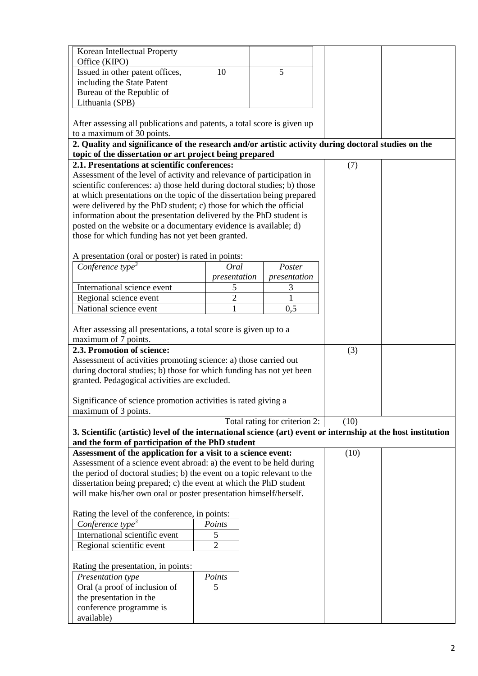| Korean Intellectual Property                                                                                                                                   |                |                               |      |  |  |
|----------------------------------------------------------------------------------------------------------------------------------------------------------------|----------------|-------------------------------|------|--|--|
| Office (KIPO)                                                                                                                                                  |                |                               |      |  |  |
| Issued in other patent offices,                                                                                                                                | 10             | 5                             |      |  |  |
| including the State Patent                                                                                                                                     |                |                               |      |  |  |
| Bureau of the Republic of                                                                                                                                      |                |                               |      |  |  |
| Lithuania (SPB)                                                                                                                                                |                |                               |      |  |  |
| After assessing all publications and patents, a total score is given up                                                                                        |                |                               |      |  |  |
| to a maximum of 30 points.                                                                                                                                     |                |                               |      |  |  |
| 2. Quality and significance of the research and/or artistic activity during doctoral studies on the<br>topic of the dissertation or art project being prepared |                |                               |      |  |  |
| 2.1. Presentations at scientific conferences:                                                                                                                  | (7)            |                               |      |  |  |
| Assessment of the level of activity and relevance of participation in                                                                                          |                |                               |      |  |  |
| scientific conferences: a) those held during doctoral studies; b) those                                                                                        |                |                               |      |  |  |
| at which presentations on the topic of the dissertation being prepared                                                                                         |                |                               |      |  |  |
| were delivered by the PhD student; c) those for which the official                                                                                             |                |                               |      |  |  |
| information about the presentation delivered by the PhD student is                                                                                             |                |                               |      |  |  |
| posted on the website or a documentary evidence is available; d)                                                                                               |                |                               |      |  |  |
| those for which funding has not yet been granted.                                                                                                              |                |                               |      |  |  |
| A presentation (oral or poster) is rated in points:                                                                                                            |                |                               |      |  |  |
| Conference type <sup>3</sup>                                                                                                                                   | Oral           | Poster                        |      |  |  |
|                                                                                                                                                                | presentation   | presentation                  |      |  |  |
| International science event                                                                                                                                    | 5              | 3                             |      |  |  |
| Regional science event                                                                                                                                         | $\overline{2}$ |                               |      |  |  |
| National science event                                                                                                                                         | $\mathbf{1}$   | 0,5                           |      |  |  |
|                                                                                                                                                                |                |                               |      |  |  |
| After assessing all presentations, a total score is given up to a                                                                                              |                |                               |      |  |  |
| maximum of 7 points.                                                                                                                                           |                |                               |      |  |  |
| 2.3. Promotion of science:                                                                                                                                     |                |                               | (3)  |  |  |
| Assessment of activities promoting science: a) those carried out                                                                                               |                |                               |      |  |  |
| during doctoral studies; b) those for which funding has not yet been                                                                                           |                |                               |      |  |  |
| granted. Pedagogical activities are excluded.                                                                                                                  |                |                               |      |  |  |
| Significance of science promotion activities is rated giving a                                                                                                 |                |                               |      |  |  |
| maximum of 3 points.                                                                                                                                           |                |                               |      |  |  |
|                                                                                                                                                                |                | Total rating for criterion 2: | (10) |  |  |
| 3. Scientific (artistic) level of the international science (art) event or internship at the host institution                                                  |                |                               |      |  |  |
| and the form of participation of the PhD student                                                                                                               |                |                               |      |  |  |
| Assessment of the application for a visit to a science event:                                                                                                  |                |                               | (10) |  |  |
| Assessment of a science event abroad: a) the event to be held during                                                                                           |                |                               |      |  |  |
| the period of doctoral studies; b) the event on a topic relevant to the                                                                                        |                |                               |      |  |  |
| dissertation being prepared; c) the event at which the PhD student                                                                                             |                |                               |      |  |  |
| will make his/her own oral or poster presentation himself/herself.                                                                                             |                |                               |      |  |  |
| Rating the level of the conference, in points:                                                                                                                 |                |                               |      |  |  |
| Conference type <sup>3</sup><br>Points                                                                                                                         |                |                               |      |  |  |
| International scientific event                                                                                                                                 | 5              |                               |      |  |  |
| Regional scientific event                                                                                                                                      | $\overline{2}$ |                               |      |  |  |
|                                                                                                                                                                |                |                               |      |  |  |
| Rating the presentation, in points:<br>Presentation type                                                                                                       |                |                               |      |  |  |
| Oral (a proof of inclusion of                                                                                                                                  | Points<br>5    |                               |      |  |  |
| the presentation in the                                                                                                                                        |                |                               |      |  |  |
| conference programme is                                                                                                                                        |                |                               |      |  |  |
| available)                                                                                                                                                     |                |                               |      |  |  |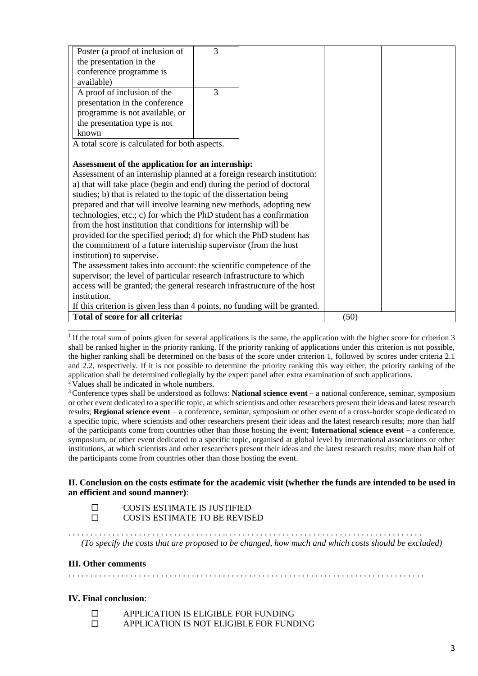| Poster (a proof of inclusion of                                            | 3 |  |      |  |
|----------------------------------------------------------------------------|---|--|------|--|
| the presentation in the                                                    |   |  |      |  |
| conference programme is                                                    |   |  |      |  |
| available)                                                                 |   |  |      |  |
| A proof of inclusion of the                                                | 3 |  |      |  |
| presentation in the conference                                             |   |  |      |  |
| programme is not available, or                                             |   |  |      |  |
| the presentation type is not                                               |   |  |      |  |
| known                                                                      |   |  |      |  |
| A total score is calculated for both aspects.                              |   |  |      |  |
|                                                                            |   |  |      |  |
| Assessment of the application for an internship:                           |   |  |      |  |
| Assessment of an internship planned at a foreign research institution:     |   |  |      |  |
| a) that will take place (begin and end) during the period of doctoral      |   |  |      |  |
| studies; b) that is related to the topic of the dissertation being         |   |  |      |  |
| prepared and that will involve learning new methods, adopting new          |   |  |      |  |
| technologies, etc.; c) for which the PhD student has a confirmation        |   |  |      |  |
| from the host institution that conditions for internship will be           |   |  |      |  |
| provided for the specified period; d) for which the PhD student has        |   |  |      |  |
| the commitment of a future internship supervisor (from the host            |   |  |      |  |
| institution) to supervise.                                                 |   |  |      |  |
| The assessment takes into account: the scientific competence of the        |   |  |      |  |
| supervisor; the level of particular research infrastructure to which       |   |  |      |  |
| access will be granted; the general research infrastructure of the host    |   |  |      |  |
| institution.                                                               |   |  |      |  |
| If this criterion is given less than 4 points, no funding will be granted. |   |  |      |  |
| Total of score for all criteria:                                           |   |  | (50) |  |

<sup>1</sup> If the total sum of points given for several applications is the same, the application with the higher score for criterion 3 shall be ranked higher in the priority ranking. If the priority ranking of applications under this criterion is not possible, the higher ranking shall be determined on the basis of the score under criterion 1, followed by scores under criteria 2.1 and 2.2, respectively. If it is not possible to determine the priority ranking this way either, the priority ranking of the application shall be determined collegially by the expert panel after extra examination of such applications. <sup>2</sup> Values shall be indicated in whole numbers.

<sup>3</sup>Conference types shall be understood as follows: **National science event** – a national conference, seminar, symposium or other event dedicated to a specific topic, at which scientists and other researchers present their ideas and latest research results; **Regional science event** – a conference, seminar, symposium or other event of a cross-border scope dedicated to a specific topic, where scientists and other researchers present their ideas and the latest research results; more than half of the participants come from countries other than those hosting the event; **International science event** – a conference, symposium, or other event dedicated to a specific topic, organised at global level by international associations or other institutions, at which scientists and other researchers present their ideas and the latest research results; more than half of the participants come from countries other than those hosting the event.

# **II. Conclusion on the costs estimate for the academic visit (whether the funds are intended to be used in an efficient and sound manner)**:

\_\_\_\_\_\_\_\_\_\_\_\_\_

 COSTS ESTIMATE IS JUSTIFIED COSTS ESTIMATE TO BE REVISED

. . . . . . . . . . . . . . . . . . . . . . . . . . . . . . . . . . . .. . . . . . . . . . . . . . . . . . . . . . . . . . . . . . . . . . . . . . . . . . . . . *(To specify the costs that are proposed to be changed, how much and which costs should be excluded)*

# **III. Other comments**

. . . . . . . . . . . . . . . . . . . . . . . . . . . . . . . . . . . . . . . . . . . . . . . . . . . . . . . . . . . . . . . . . . . . . . . . . . . . . . . . .

# **IV. Final conclusion**:

- **EVALUATION IS ELIGIBLE FOR FUNDING**
- **EXECUTE APPLICATION IS NOT ELIGIBLE FOR FUNDING**